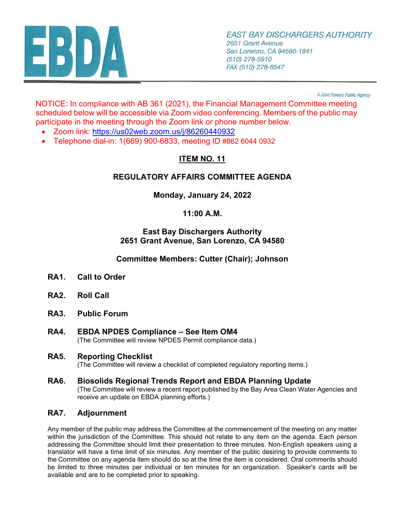

A Joint Powers Public Agency

NOTICE: In compliance with AB 361 (2021), the Financial Management Committee meeting scheduled below will be accessible via Zoom video conferencing. Members of the public may participate in the meeting through the Zoom link or phone number below.

- Zoom link: <https://us02web.zoom.us/j/86260440932>
- Telephone dial-in: 1(669) 900-6833, meeting ID #862 6044 0932

# **ITEM NO. 11**

## **REGULATORY AFFAIRS COMMITTEE AGENDA**

### **Monday, January 24, 2022**

### **11:00 A.M.**

#### **East Bay Dischargers Authority 2651 Grant Avenue, San Lorenzo, CA 94580**

**Committee Members: Cutter (Chair); Johnson**

- **RA1. Call to Order**
- **RA2. Roll Call**
- **RA3. Public Forum**
- **RA4. EBDA NPDES Compliance See Item OM4** (The Committee will review NPDES Permit compliance data.)

#### **RA5. Reporting Checklist**

(The Committee will review a checklist of completed regulatory reporting items.)

**RA6. Biosolids Regional Trends Report and EBDA Planning Update** (The Committee will review a recent report published by the Bay Area Clean Water Agencies and receive an update on EBDA planning efforts.)

### **RA7. Adjournment**

Any member of the public may address the Committee at the commencement of the meeting on any matter within the jurisdiction of the Committee. This should not relate to any item on the agenda. Each person addressing the Committee should limit their presentation to three minutes. Non-English speakers using a translator will have a time limit of six minutes. Any member of the public desiring to provide comments to the Committee on any agenda item should do so at the time the item is considered. Oral comments should be limited to three minutes per individual or ten minutes for an organization. Speaker's cards will be available and are to be completed prior to speaking.